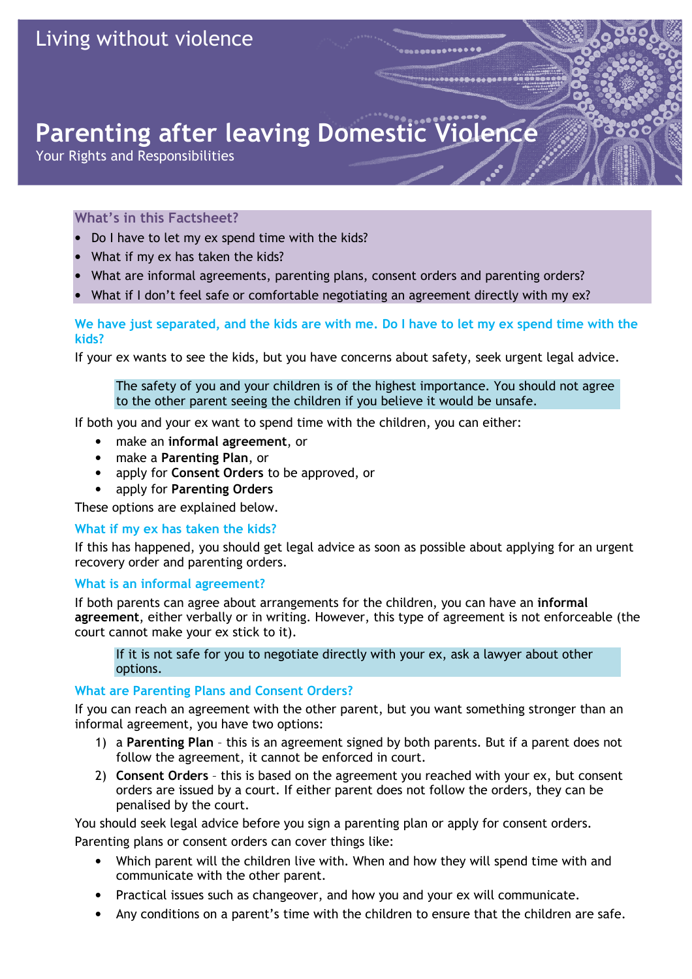# Parenting after leaving Domestic Violence

Your Rights and Responsibilities

## What's in this Factsheet?

- Do I have to let my ex spend time with the kids?
- What if my ex has taken the kids?
- What are informal agreements, parenting plans, consent orders and parenting orders?
- What if I don't feel safe or comfortable negotiating an agreement directly with my ex?

# We have just separated, and the kids are with me. Do I have to let my ex spend time with the kids?

If your ex wants to see the kids, but you have concerns about safety, seek urgent legal advice.

The safety of you and your children is of the highest importance. You should not agree to the other parent seeing the children if you believe it would be unsafe.

If both you and your ex want to spend time with the children, you can either:

- make an informal agreement, or
- make a Parenting Plan, or
- apply for Consent Orders to be approved, or
- apply for Parenting Orders

These options are explained below.

#### What if my ex has taken the kids?

If this has happened, you should get legal advice as soon as possible about applying for an urgent recovery order and parenting orders.

#### What is an informal agreement?

If both parents can agree about arrangements for the children, you can have an informal agreement, either verbally or in writing. However, this type of agreement is not enforceable (the court cannot make your ex stick to it).

If it is not safe for you to negotiate directly with your ex, ask a lawyer about other options.

#### What are Parenting Plans and Consent Orders?

If you can reach an agreement with the other parent, but you want something stronger than an informal agreement, you have two options:

- 1) a Parenting Plan this is an agreement signed by both parents. But if a parent does not follow the agreement, it cannot be enforced in court.
- 2) Consent Orders this is based on the agreement you reached with your ex, but consent orders are issued by a court. If either parent does not follow the orders, they can be penalised by the court.

You should seek legal advice before you sign a parenting plan or apply for consent orders. Parenting plans or consent orders can cover things like:

- Which parent will the children live with. When and how they will spend time with and communicate with the other parent.
- Practical issues such as changeover, and how you and your ex will communicate.
- Any conditions on a parent's time with the children to ensure that the children are safe.